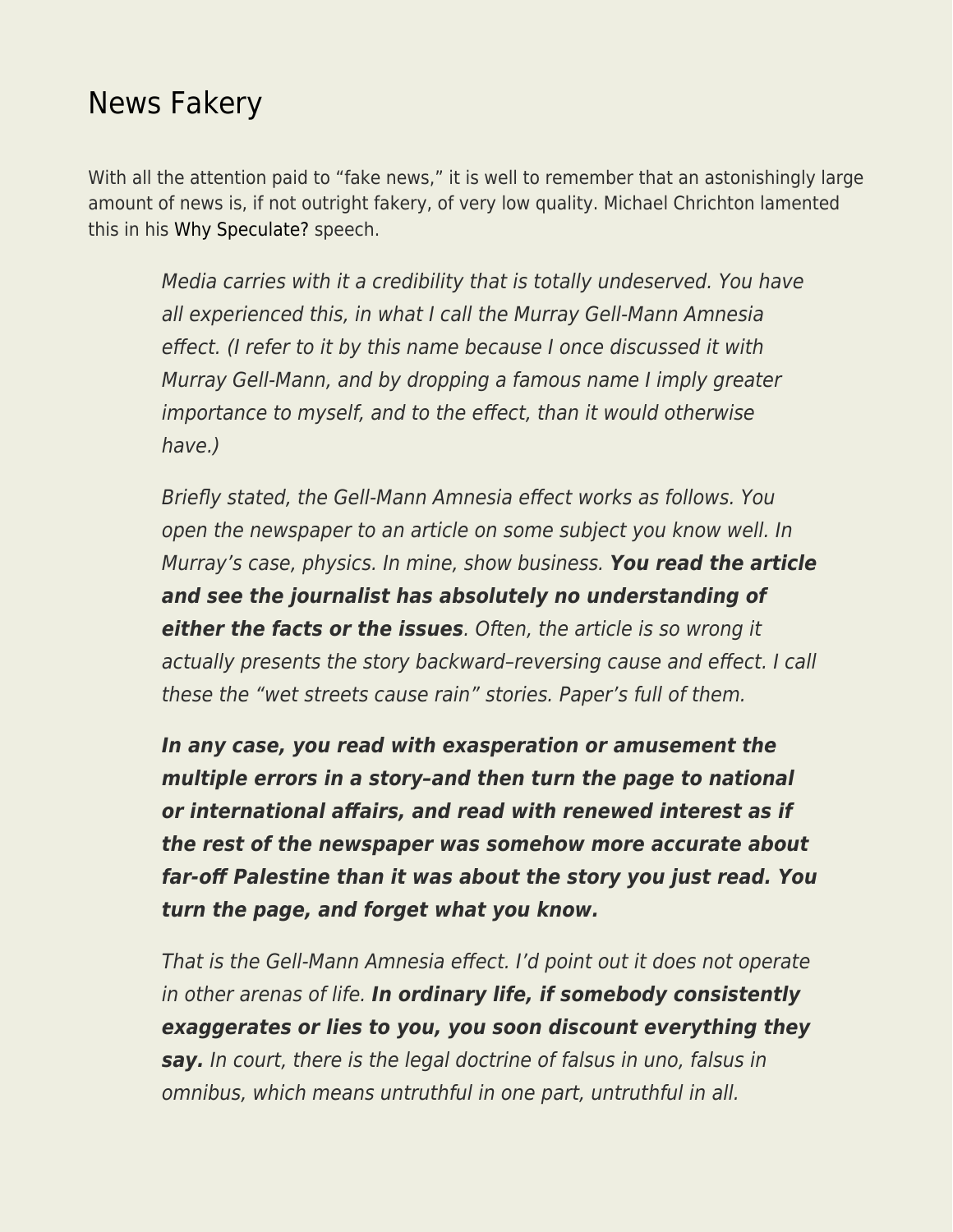## [News Fakery](https://everything-voluntary.com/news-fakery)

With all the attention paid to "fake news," it is well to remember that an astonishingly large amount of news is, if not outright fakery, of very low quality. Michael Chrichton lamented this in his [Why Speculate?](http://larvatus.com/michael-crichton-why-speculate/) speech.

Media carries with it a credibility that is totally undeserved. You have all experienced this, in what I call the Murray Gell-Mann Amnesia effect. (I refer to it by this name because I once discussed it with Murray Gell-Mann, and by dropping a famous name I imply greater importance to myself, and to the effect, than it would otherwise have.)

Briefly stated, the Gell-Mann Amnesia effect works as follows. You open the newspaper to an article on some subject you know well. In Murray's case, physics. In mine, show business. *You read the article and see the journalist has absolutely no understanding of either the facts or the issues*. Often, the article is so wrong it actually presents the story backward–reversing cause and effect. I call these the "wet streets cause rain" stories. Paper's full of them.

*In any case, you read with exasperation or amusement the multiple errors in a story–and then turn the page to national or international affairs, and read with renewed interest as if the rest of the newspaper was somehow more accurate about far-off Palestine than it was about the story you just read. You turn the page, and forget what you know.*

That is the Gell-Mann Amnesia effect. I'd point out it does not operate in other arenas of life. *In ordinary life, if somebody consistently exaggerates or lies to you, you soon discount everything they say.* In court, there is the legal doctrine of falsus in uno, falsus in omnibus, which means untruthful in one part, untruthful in all.